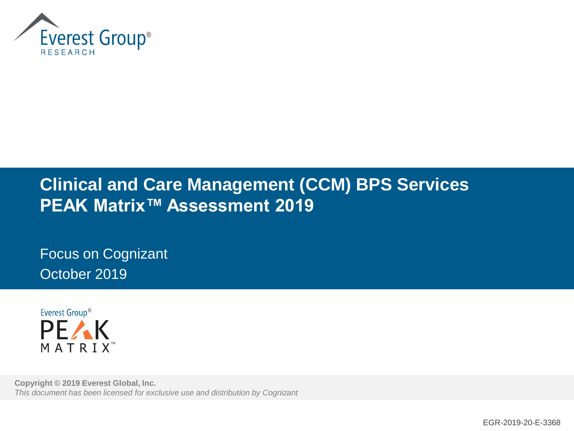

## **Clinical and Care Management (CCM) BPS Services PEAK Matrix™ Assessment 2019**

Focus on Cognizant October 2019



**Copyright © 2019 Everest Global, Inc.** *This document has been licensed for exclusive use and distribution by Cognizant*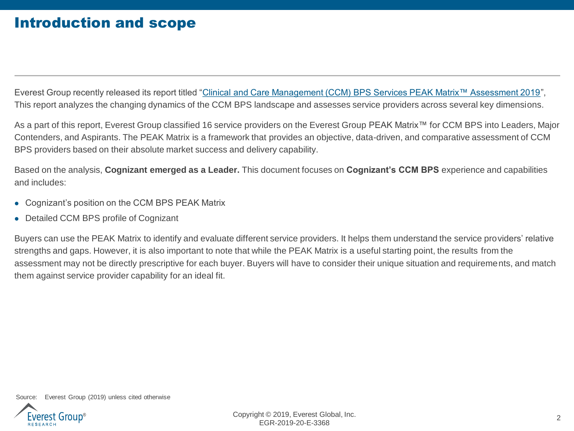### Introduction and scope

Everest Group recently released its report titled "[Clinical and Care Management \(CCM\) BPS Services PEAK Matrix™ Assessment 2019](https://www2.everestgrp.com/reportaction/EGR-2019-20-R-3342/toc)", This report analyzes the changing dynamics of the CCM BPS landscape and assesses service providers across several key dimensions.

As a part of this report, Everest Group classified 16 service providers on the Everest Group PEAK Matrix™ for CCM BPS into Leaders, Major Contenders, and Aspirants. The PEAK Matrix is a framework that provides an objective, data-driven, and comparative assessment of CCM BPS providers based on their absolute market success and delivery capability.

Based on the analysis, **Cognizant emerged as a Leader.** This document focuses on **Cognizant's CCM BPS** experience and capabilities and includes:

- ⚫ Cognizant's position on the CCM BPS PEAK Matrix
- ⚫ Detailed CCM BPS profile of Cognizant

Buyers can use the PEAK Matrix to identify and evaluate different service providers. It helps them understand the service providers' relative strengths and gaps. However, it is also important to note that while the PEAK Matrix is a useful starting point, the results from the assessment may not be directly prescriptive for each buyer. Buyers will have to consider their unique situation and requirements, and match them against service provider capability for an ideal fit.

Source: Everest Group (2019) unless cited otherwise

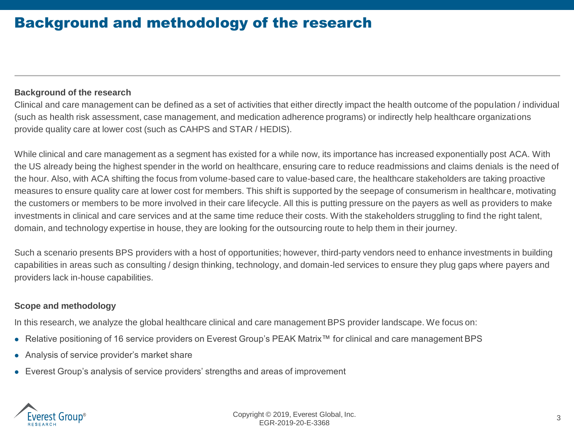### Background and methodology of the research

### **Background of the research**

Clinical and care management can be defined as a set of activities that either directly impact the health outcome of the population / individual (such as health risk assessment, case management, and medication adherence programs) or indirectly help healthcare organizations provide quality care at lower cost (such as CAHPS and STAR / HEDIS).

While clinical and care management as a segment has existed for a while now, its importance has increased exponentially post ACA. With the US already being the highest spender in the world on healthcare, ensuring care to reduce readmissions and claims denials is the need of the hour. Also, with ACA shifting the focus from volume-based care to value-based care, the healthcare stakeholders are taking proactive measures to ensure quality care at lower cost for members. This shift is supported by the seepage of consumerism in healthcare, motivating the customers or members to be more involved in their care lifecycle. All this is putting pressure on the payers as well as providers to make investments in clinical and care services and at the same time reduce their costs. With the stakeholders struggling to find the right talent, domain, and technology expertise in house, they are looking for the outsourcing route to help them in their journey.

Such a scenario presents BPS providers with a host of opportunities; however, third-party vendors need to enhance investments in building capabilities in areas such as consulting / design thinking, technology, and domain-led services to ensure they plug gaps where payers and providers lack in-house capabilities.

### **Scope and methodology**

In this research, we analyze the global healthcare clinical and care management BPS provider landscape. We focus on:

- ⚫ Relative positioning of 16 service providers on Everest Group's PEAK Matrix™ for clinical and care management BPS
- ⚫ Analysis of service provider's market share
- Everest Group's analysis of service providers' strengths and areas of improvement

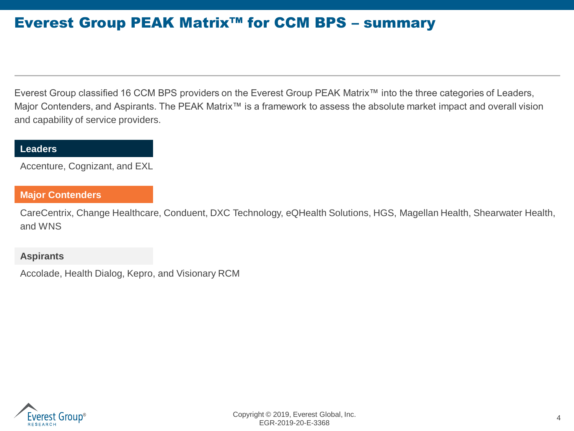### Everest Group PEAK Matrix™ for CCM BPS – summary

Everest Group classified 16 CCM BPS providers on the Everest Group PEAK Matrix™ into the three categories of Leaders, Major Contenders, and Aspirants. The PEAK Matrix™ is a framework to assess the absolute market impact and overall vision and capability of service providers.

### **Leaders**

Accenture, Cognizant, and EXL

### **Major Contenders**

CareCentrix, Change Healthcare, Conduent, DXC Technology, eQHealth Solutions, HGS, Magellan Health, Shearwater Health, and WNS

### **Aspirants**

Accolade, Health Dialog, Kepro, and Visionary RCM

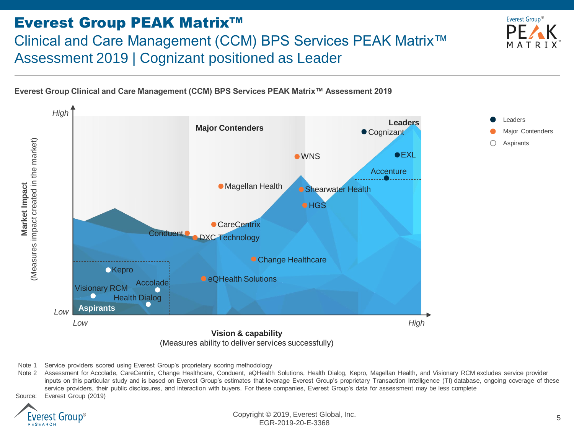### Everest Group PEAK Matrix™ Clinical and Care Management (CCM) BPS Services PEAK Matrix™ Assessment 2019 | Cognizant positioned as Leader



**Everest Group Clinical and Care Management (CCM) BPS Services PEAK Matrix™ Assessment 2019**



Note 1 Service providers scored using Everest Group's proprietary scoring methodology

Note 2 Assessment for Accolade, CareCentrix, Change Healthcare, Conduent, eQHealth Solutions, Health Dialog, Kepro, Magellan Health, and Visionary RCM excludes service provider inputs on this particular study and is based on Everest Group's estimates that leverage Everest Group's proprietary Transaction Intelligence (TI) database, ongoing coverage of these service providers, their public disclosures, and interaction with buyers. For these companies, Everest Group's data for assessment may be less complete Source: Everest Group (2019)



Copyright © 2019, Everest Global, Inc. EGR-2019-20-E-3368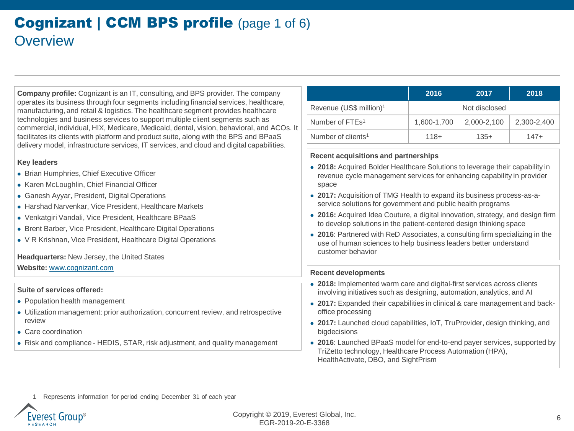### **Cognizant | CCM BPS profile (page 1 of 6) Overview**

**Company profile:** Cognizant is an IT, consulting, and BPS provider. The company operates its business through four segments including financial services, healthcare, manufacturing, and retail & logistics. The healthcare segment provides healthcare technologies and business services to support multiple client segments such as commercial, individual, HIX, Medicare, Medicaid, dental, vision, behavioral, and ACOs. It facilitates its clients with platform and product suite, along with the BPS and BPaaS delivery model, infrastructure services, IT services, and cloud and digital capabilities.

#### **Key leaders**

- ⚫ Brian Humphries, Chief Executive Officer
- ⚫ Karen McLoughlin, Chief Financial Officer
- Ganesh Ayyar, President, Digital Operations
- ⚫ Harshad Narvenkar, Vice President, Healthcare Markets
- ⚫ Venkatgiri Vandali, Vice President, Healthcare BPaaS
- Brent Barber, Vice President, Healthcare Digital Operations
- ⚫ V R Krishnan, Vice President, Healthcare Digital Operations

**Headquarters:** New Jersey, the United States

**Website:** [www.cognizant.com](http://www.accenture.com/)

#### **Suite of services offered:**

- ⚫ Population health management
- ⚫ Utilization management: prior authorization, concurrent review, and retrospective review
- Care coordination
- ⚫ Risk and compliance HEDIS, STAR, risk adjustment, and quality management

|                                     | 2016          | 2017        | 2018        |  |
|-------------------------------------|---------------|-------------|-------------|--|
| Revenue (US\$ million) <sup>1</sup> | Not disclosed |             |             |  |
| Number of FTEs <sup>1</sup>         | 1,600-1,700   | 2,000-2,100 | 2,300-2,400 |  |
| Number of clients <sup>1</sup>      | $118+$        | $135+$      | $147+$      |  |

#### **Recent acquisitions and partnerships**

- ⚫ **2018:** Acquired Bolder Healthcare Solutions to leverage their capability in revenue cycle management services for enhancing capability in provider space
- ⚫ **2017:** Acquisition of TMG Health to expand its business process-as-aservice solutions for government and public health programs
- ⚫ **2016:** Acquired Idea Couture, a digital innovation, strategy, and design firm to develop solutions in the patient-centered design thinking space
- ⚫ **2016**: Partnered with ReD Associates, a consulting firm specializing in the use of human sciences to help business leaders better understand customer behavior

#### **Recent developments**

- ⚫ **2018:** Implemented warm care and digital-first services across clients involving initiatives such as designing, automation, analytics, and AI
- ⚫ **2017:** Expanded their capabilities in clinical & care management and backoffice processing
- ⚫ **2017:** Launched cloud capabilities, IoT, TruProvider, design thinking, and bigdecisions
- ⚫ **2016**: Launched BPaaS model for end-to-end payer services, supported by TriZetto technology, Healthcare Process Automation (HPA), HealthActivate, DBO, and SightPrism

Represents information for period ending December 31 of each year

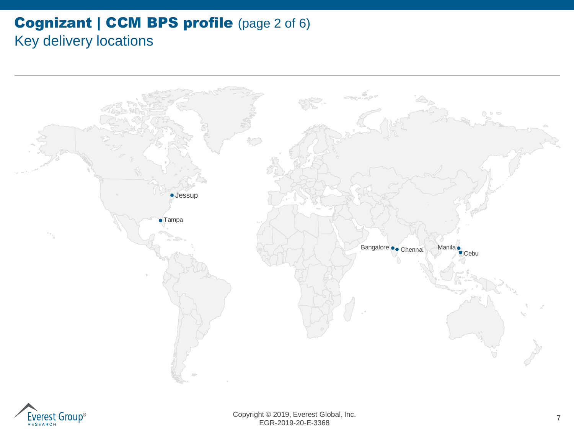### **Cognizant | CCM BPS profile (page 2 of 6)** Key delivery locations



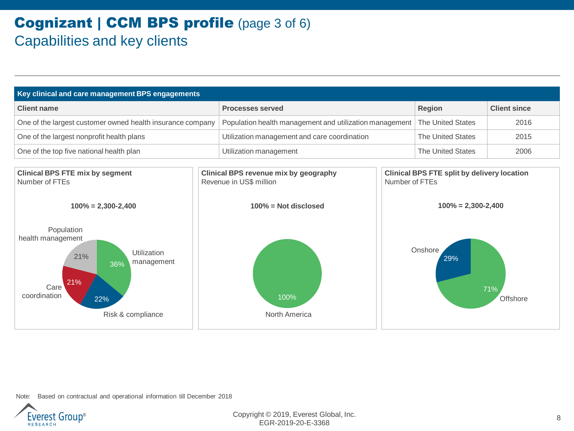### Cognizant | CCM BPS profile (page 3 of 6) Capabilities and key clients

| Key clinical and care management BPS engagements                                                                                                   |  |                                                                                                                                                                                              |                                                         |                          |                     |  |
|----------------------------------------------------------------------------------------------------------------------------------------------------|--|----------------------------------------------------------------------------------------------------------------------------------------------------------------------------------------------|---------------------------------------------------------|--------------------------|---------------------|--|
| <b>Client name</b>                                                                                                                                 |  | <b>Processes served</b>                                                                                                                                                                      |                                                         | <b>Region</b>            | <b>Client since</b> |  |
| One of the largest customer owned health insurance company                                                                                         |  |                                                                                                                                                                                              | Population health management and utilization management |                          | 2016                |  |
| One of the largest nonprofit health plans                                                                                                          |  | Utilization management and care coordination                                                                                                                                                 |                                                         | <b>The United States</b> | 2015                |  |
| One of the top five national health plan                                                                                                           |  | Utilization management                                                                                                                                                                       |                                                         | <b>The United States</b> | 2006                |  |
| <b>Clinical BPS FTE mix by segment</b><br>Number of FTEs<br>$100\% = 2,300-2,400$                                                                  |  | <b>Clinical BPS FTE split by delivery location</b><br>Clinical BPS revenue mix by geography<br>Revenue in US\$ million<br>Number of FTEs<br>$100\% = 2,300-2,400$<br>$100\%$ = Not disclosed |                                                         |                          |                     |  |
| Population<br>health management<br>Utilization<br>21%<br>management<br>36%<br>21%<br>Care <sup>'</sup><br>coordination<br>22%<br>Risk & compliance |  | 100%<br>North America                                                                                                                                                                        |                                                         | Onshore<br>29%           | 71%<br>Offshore     |  |

Note: Based on contractual and operational information till December 2018

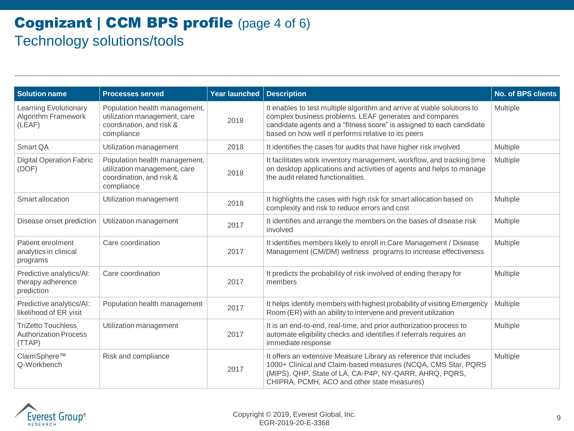### Cognizant | CCM BPS profile (page 4 of 6) Technology solutions/tools

| <b>Solution name</b>                                                 | <b>Processes served</b>                                                                                 | <b>Year launched</b> | <b>Description</b>                                                                                                                                                                                                                                               | <b>No. of BPS clients</b> |
|----------------------------------------------------------------------|---------------------------------------------------------------------------------------------------------|----------------------|------------------------------------------------------------------------------------------------------------------------------------------------------------------------------------------------------------------------------------------------------------------|---------------------------|
| <b>Learning Evolutionary</b><br><b>Algorithm Framework</b><br>(LEAF) | Population health management,<br>utilization management, care<br>coordination, and risk &<br>compliance | 2018                 | It enables to test multiple algorithm and arrive at viable solutions to<br>complex business problems. LEAF generates and compares<br>candidate agents and a "fitness score" is assigned to each candidate<br>based on how well it performs relative to its peers | Multiple                  |
| Smart QA                                                             | Utilization management                                                                                  | 2018                 | It identifies the cases for audits that have higher risk involved                                                                                                                                                                                                | Multiple                  |
| <b>Digital Operation Fabric</b><br>(DOF)                             | Population health management,<br>utilization management, care<br>coordination, and risk &<br>compliance | 2018                 | It facilitates work inventory management, workflow, and tracking time<br>on desktop applications and activities of agents and helps to manage<br>the audit related functionalities.                                                                              | Multiple                  |
| Smart allocation                                                     | Utilization management                                                                                  | 2018                 | It highlights the cases with high risk for smart allocation based on<br>complexity and risk to reduce errors and cost                                                                                                                                            | Multiple                  |
| Disease onset prediction                                             | Utilization management                                                                                  | 2017                 | It identifies and arrange the members on the bases of disease risk<br>involved                                                                                                                                                                                   | Multiple                  |
| Patient enrolment<br>analytics in clinical<br>programs               | Care coordination                                                                                       | 2017                 | It identifies members likely to enroll in Care Management / Disease<br>Management (CM/DM) wellness programs to increase effectiveness                                                                                                                            | Multiple                  |
| Predictive analytics/AI:<br>therapy adherence<br>prediction          | Care coordination                                                                                       | 2017                 | It predicts the probability of risk involved of ending therapy for<br>members                                                                                                                                                                                    | Multiple                  |
| Predictive analytics/AI:<br>likelihood of ER visit                   | Population health management                                                                            | 2017                 | It helps identify members with highest probability of visiting Emergency<br>Room (ER) with an ability to intervene and prevent utilization                                                                                                                       | Multiple                  |
| <b>TriZetto Touchless</b><br><b>Authorization Process</b><br>(TTAP)  | Utilization management                                                                                  | 2017                 | It is an end-to-end, real-time, and prior authorization process to<br>automate eligibility checks and identifies if referrals requires an<br>immediate response                                                                                                  | Multiple                  |
| ClaimSphere™<br>Q-Workbench                                          | Risk and compliance                                                                                     | 2017                 | It offers an extensive Measure Library as reference that includes<br>1000+ Clinical and Claim-based measures (NCQA, CMS Star, PQRS<br>(MIPS), QHP, State of LA, CA-P4P, NY-QARR, AHRQ, PQRS,<br>CHIPRA, PCMH, ACO and other state measures)                      | Multiple                  |

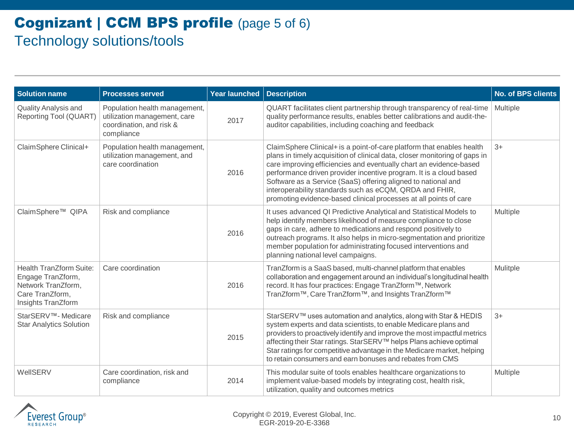### Cognizant | CCM BPS profile (page 5 of 6) Technology solutions/tools

| <b>Solution name</b>                                                                                               | <b>Processes served</b>                                                                                 | Year launched | <b>Description</b>                                                                                                                                                                                                                                                                                                                                                                                                                                                                               | <b>No. of BPS clients</b> |
|--------------------------------------------------------------------------------------------------------------------|---------------------------------------------------------------------------------------------------------|---------------|--------------------------------------------------------------------------------------------------------------------------------------------------------------------------------------------------------------------------------------------------------------------------------------------------------------------------------------------------------------------------------------------------------------------------------------------------------------------------------------------------|---------------------------|
| Quality Analysis and<br>Reporting Tool (QUART)                                                                     | Population health management,<br>utilization management, care<br>coordination, and risk &<br>compliance | 2017          | QUART facilitates client partnership through transparency of real-time<br>quality performance results, enables better calibrations and audit-the-<br>auditor capabilities, including coaching and feedback                                                                                                                                                                                                                                                                                       | Multiple                  |
| ClaimSphere Clinical+                                                                                              | Population health management,<br>utilization management, and<br>care coordination                       | 2016          | ClaimSphere Clinical+ is a point-of-care platform that enables health<br>plans in timely acquisition of clinical data, closer monitoring of gaps in<br>care improving efficiencies and eventually chart an evidence-based<br>performance driven provider incentive program. It is a cloud based<br>Software as a Service (SaaS) offering aligned to national and<br>interoperability standards such as eCQM, QRDA and FHIR,<br>promoting evidence-based clinical processes at all points of care | $3+$                      |
| ClaimSphere <sup>™</sup> QIPA                                                                                      | Risk and compliance                                                                                     | 2016          | It uses advanced QI Predictive Analytical and Statistical Models to<br>help identify members likelihood of measure compliance to close<br>gaps in care, adhere to medications and respond positively to<br>outreach programs. It also helps in micro-segmentation and prioritize<br>member population for administrating focused interventions and<br>planning national level campaigns.                                                                                                         | Multiple                  |
| <b>Health TranZform Suite:</b><br>Engage TranZform,<br>Network TranZform,<br>Care TranZform,<br>Insights TranZform | Care coordination                                                                                       | 2016          | TranZform is a SaaS based, multi-channel platform that enables<br>collaboration and engagement around an individual's longitudinal health<br>record. It has four practices: Engage TranZform™, Network<br>TranZform™, Care TranZform™, and Insights TranZform™                                                                                                                                                                                                                                   | Mulitple                  |
| StarSERV™- Medicare<br><b>Star Analytics Solution</b>                                                              | Risk and compliance                                                                                     | 2015          | StarSERV™ uses automation and analytics, along with Star & HEDIS<br>system experts and data scientists, to enable Medicare plans and<br>providers to proactively identify and improve the most impactful metrics<br>affecting their Star ratings. StarSERV™ helps Plans achieve optimal<br>Star ratings for competitive advantage in the Medicare market, helping<br>to retain consumers and earn bonuses and rebates from CMS                                                                   | $3+$                      |
| WellSERV                                                                                                           | Care coordination, risk and<br>compliance                                                               | 2014          | This modular suite of tools enables healthcare organizations to<br>implement value-based models by integrating cost, health risk,<br>utilization, quality and outcomes metrics                                                                                                                                                                                                                                                                                                                   | Multiple                  |

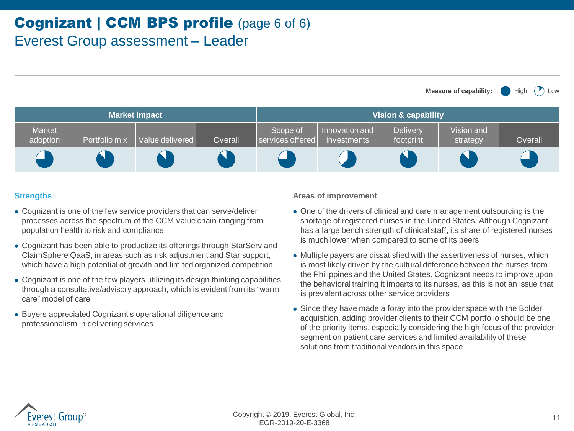**Market impact Vision & capability** Market adoption | Portfolio mix | Value delivered | Overall Scope of services offered Innovation and investments **Delivery** footprint Vision and strategy | Overall

- ⚫ Cognizant is one of the few service providers that can serve/deliver processes across the spectrum of the CCM value chain ranging from population health to risk and compliance
- ⚫ Cognizant has been able to productize its offerings through StarServ and ClaimSphere QaaS, in areas such as risk adjustment and Star support, which have a high potential of growth and limited organized competition
- ⚫ Cognizant is one of the few players utilizing its design thinking capabilities through a consultative/advisory approach, which is evident from its "warm care" model of care
- ⚫ Buyers appreciated Cognizant's operational diligence and professionalism in delivering services

#### **Strengths Areas of improvement Areas of improvement**

⚫ One of the drivers of clinical and care management outsourcing is the shortage of registered nurses in the United States. Although Cognizant has a large bench strength of clinical staff, its share of registered nurses is much lower when compared to some of its peers

**Measure of capability:** High

- ⚫ Multiple payers are dissatisfied with the assertiveness of nurses, which is most likely driven by the cultural difference between the nurses from the Philippines and the United States. Cognizant needs to improve upon the behavioral training it imparts to its nurses, as this is not an issue that is prevalent across other service providers
- ⚫ Since they have made a foray into the provider space with the Bolder acquisition, adding provider clients to their CCM portfolio should be one of the priority items, especially considering the high focus of the provider segment on patient care services and limited availability of these solutions from traditional vendors in this space

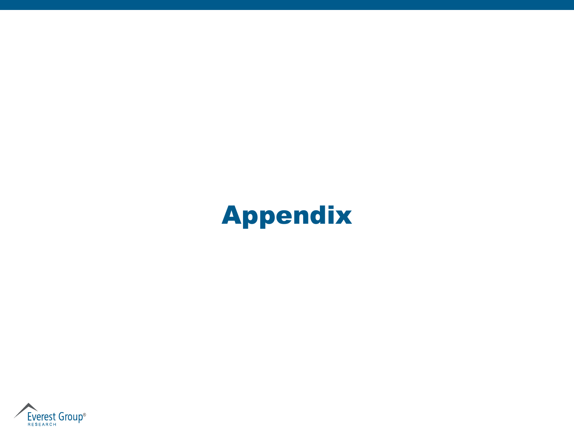# Appendix

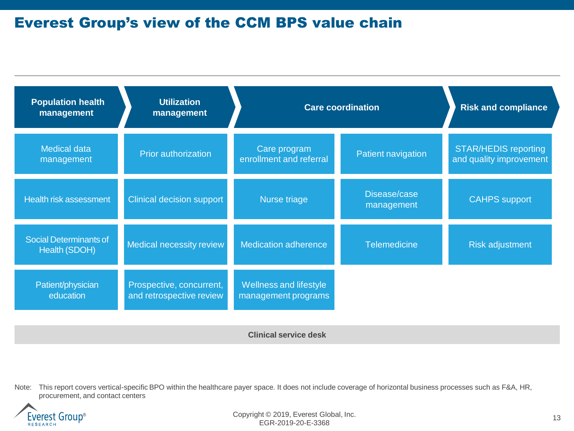### Everest Group's view of the CCM BPS value chain

| <b>Population health</b><br>management  | <b>Utilization</b><br>management                     | <b>Care coordination</b>                      |                            | <b>Risk and compliance</b>                             |
|-----------------------------------------|------------------------------------------------------|-----------------------------------------------|----------------------------|--------------------------------------------------------|
| <b>Medical data</b><br>management       | <b>Prior authorization</b>                           | Care program<br>enrollment and referral       | Patient navigation         | <b>STAR/HEDIS reporting</b><br>and quality improvement |
| <b>Health risk assessment</b>           | Clinical decision support                            | Nurse triage                                  | Disease/case<br>management | <b>CAHPS</b> support                                   |
| Social Determinants of<br>Health (SDOH) | Medical necessity review                             | <b>Medication adherence</b>                   | <b>Telemedicine</b>        | <b>Risk adjustment</b>                                 |
| Patient/physician<br>education          | Prospective, concurrent,<br>and retrospective review | Wellness and lifestyle<br>management programs |                            |                                                        |

**Clinical service desk**

Note: This report covers vertical-specific BPO within the healthcare payer space. It does not include coverage of horizontal business processes such as F&A, HR, procurement, and contact centers



Copyright © 2019, Everest Global, Inc. (2019) 2014 13 EGR-2019-20-E-3368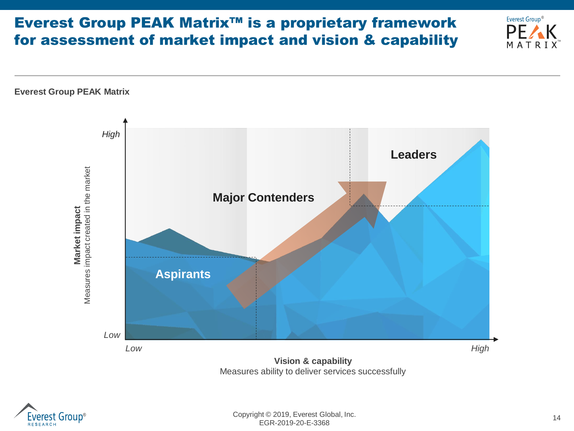### Everest Group PEAK Matrix™ is a proprietary framework for assessment of market impact and vision & capability





™

Everest Group®

PF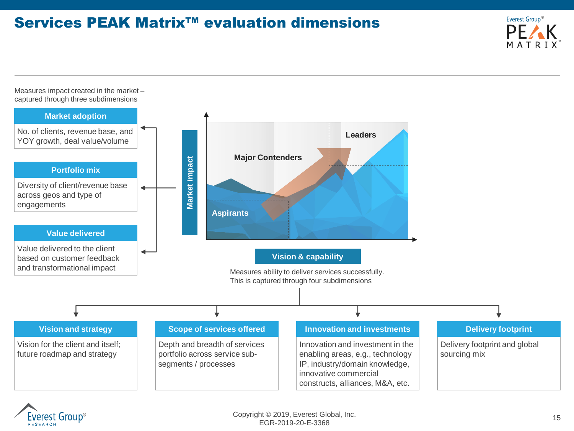### Services PEAK Matrix™ evaluation dimensions



Measures impact created in the market – captured through three subdimensions



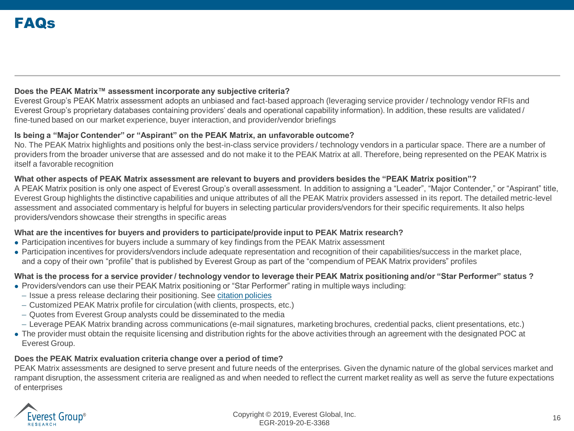### **Does the PEAK Matrix™ assessment incorporate any subjective criteria?**

Everest Group's PEAK Matrix assessment adopts an unbiased and fact-based approach (leveraging service provider / technology vendor RFIs and Everest Group's proprietary databases containing providers' deals and operational capability information). In addition, these results are validated / fine-tuned based on our market experience, buyer interaction, and provider/vendor briefings

#### **Is being a "Major Contender" or "Aspirant" on the PEAK Matrix, an unfavorable outcome?**

No. The PEAK Matrix highlights and positions only the best-in-class service providers / technology vendors in a particular space. There are a number of providers from the broader universe that are assessed and do not make it to the PEAK Matrix at all. Therefore, being represented on the PEAK Matrix is itself a favorable recognition

#### **What other aspects of PEAK Matrix assessment are relevant to buyers and providers besides the "PEAK Matrix position"?**

A PEAK Matrix position is only one aspect of Everest Group's overall assessment. In addition to assigning a "Leader", "Major Contender," or "Aspirant" title, Everest Group highlights the distinctive capabilities and unique attributes of all the PEAK Matrix providers assessed in its report. The detailed metric-level assessment and associated commentary is helpful for buyers in selecting particular providers/vendors for their specific requirements. It also helps providers/vendors showcase their strengths in specific areas

#### **What are the incentives for buyers and providers to participate/provide input to PEAK Matrix research?**

- ⚫ Participation incentives for buyers include a summary of key findings from the PEAK Matrix assessment
- ⚫ Participation incentives for providers/vendors include adequate representation and recognition of their capabilities/success in the market place, and a copy of their own "profile" that is published by Everest Group as part of the "compendium of PEAK Matrix providers" profiles

#### **What is the process for a service provider / technology vendor to leverage their PEAK Matrix positioning and/or "Star Performer" status ?**

- ⚫ Providers/vendors can use their PEAK Matrix positioning or "Star Performer" rating in multiple ways including:
	- Issue a press release declaring their positioning. See [citation policies](https://www.everestgrp.com/research/peak-matrix/peak-matrix-citation-policy/)
	- Customized PEAK Matrix profile for circulation (with clients, prospects, etc.)
	- Quotes from Everest Group analysts could be disseminated to the media
	- Leverage PEAK Matrix branding across communications (e-mail signatures, marketing brochures, credential packs, client presentations, etc.)
- ⚫ The provider must obtain the requisite licensing and distribution rights for the above activities through an agreement with the designated POC at Everest Group.

#### **Does the PEAK Matrix evaluation criteria change over a period of time?**

PEAK Matrix assessments are designed to serve present and future needs of the enterprises. Given the dynamic nature of the global services market and rampant disruption, the assessment criteria are realigned as and when needed to reflect the current market reality as well as serve the future expectations of enterprises